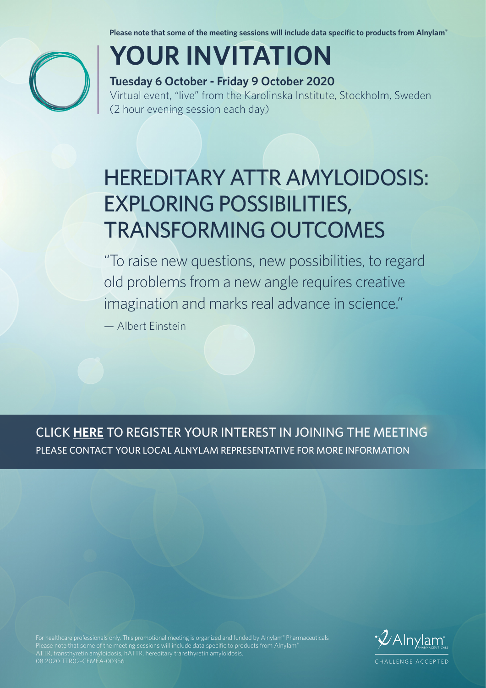**Please note that some of the meeting sessions will include data specific to products from Alnylam®**



# **YOUR INVITATION**

### **Tuesday 6 October - Friday 9 October 2020**

Virtual event, "live" from the Karolinska Institute, Stockholm, Sweden (2 hour evening session each day)

## HEREDITARY ATTR AMYLOIDOSIS: EXPLORING POSSIBILITIES, TRANSFORMING OUTCOMES

"To raise new questions, new possibilities, to regard old problems from a new angle requires creative imagination and marks real advance in science."

— Albert Einstein

CLICK **HERE** TO REGISTER YOUR INTEREST IN JOINING THE MEETING PLEASE CONTACT YOUR LOCAL ALNYLAM REPRESENTATIVE FOR MORE INFORMATION

For healthcare professionals only. This promotional meeting is organized and funded by Alnylam® Pharmaceuticals ATTR, transthyretin amyloidosis; hATTR, hereditary transthyretin amyloidosis. 08.2020 TTR02-CEMEA-00356

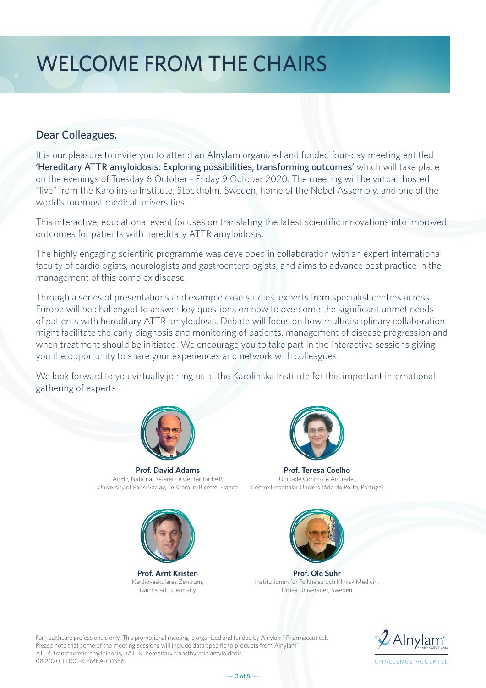## WELCOME FROM THE CHAIRS

#### Dear Colleagues,

It is our pleasure to invite you to attend an Alnylam organized and funded four-day meeting entitled 'Hereditary ATTR amyloidosis: Exploring possibilities, transforming outcomes' which will take place on the evenings of Tuesday 6 October - Friday 9 October 2020. The meeting will be virtual, hosted "live" from the Karolinska Institute, Stockholm, Sweden, home of the Nobel Assembly, and one of the world's foremost medical universities.

This interactive, educational event focuses on translating the latest scientific innovations into improved outcomes for patients with hereditary ATTR amyloidosis.

The highly engaging scientific programme was developed in collaboration with an expert international faculty of cardiologists, neurologists and gastroenterologists, and aims to advance best practice in the management of this complex disease.

Through a series of presentations and example case studies, experts from specialist centres across Europe will be challenged to answer key questions on how to overcome the significant unmet needs of patients with hereditary ATTR amyloidosis. Debate will focus on how multidisciplinary collaboration might facilitate the early diagnosis and monitoring of patients, management of disease progression and when treatment should be initiated. We encourage you to take part in the interactive sessions giving you the opportunity to share your experiences and network with colleagues.

We look forward to you virtually joining us at the Karolinska Institute for this important international gathering of experts.



**Prof. David Adams** APHP, National Reference Center for FAP, University of Paris-Saclay, Le Kremlin-Bicêtre, France



**Prof. Teresa Coelho** Unidade Corino de Andrade, Centro Hospitalar Universitário do Porto, Portugal



**Prof. Arnt Kristen** Kardiovaskuläres Zentrum, Darmstadt, Germany



**Prof. Ole Suhr** Institutionen för Folkhälsa och Klinisk Medicin, Umeå Universitet, Sweden

For healthcare professionals only. This promotional meeting is organized and funded by Alnylam® Pharmaceuticals Please note that some of the meeting sessions will include data specific to products from Alnylam® ATTR, transthyretin amyloidosis; hATTR, hereditary transthyretin amyloidosis. 08.2020 TTR02-CEMEA-00356

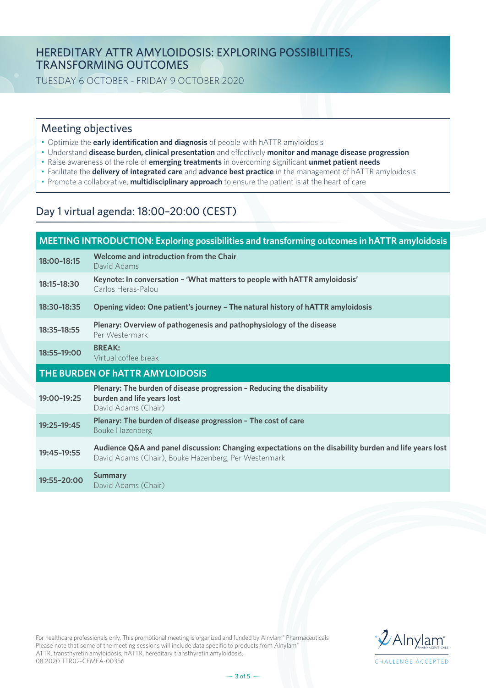#### HEREDITARY ATTR AMYLOIDOSIS: EXPLORING POSSIBILITIES, TRANSFORMING OUTCOMES

TUESDAY 6 OCTOBER - FRIDAY 9 OCTOBER 2020

#### Meeting objectives

- Optimize the **early identification and diagnosis** of people with hATTR amyloidosis
- Understand **disease burden, clinical presentation** and effectively **monitor and manage disease progression**
- Raise awareness of the role of **emerging treatments** in overcoming significant **unmet patient needs**
- Facilitate the **delivery of integrated care** and **advance best practice** in the management of hATTR amyloidosis
- Promote a collaborative, **multidisciplinary approach** to ensure the patient is at the heart of care

#### Day 1 virtual agenda: 18:00–20:00 (CEST)

| MEETING INTRODUCTION: Exploring possibilities and transforming outcomes in hATTR amyloidosis |                                                                                                                                                               |  |
|----------------------------------------------------------------------------------------------|---------------------------------------------------------------------------------------------------------------------------------------------------------------|--|
| 18:00-18:15                                                                                  | Welcome and introduction from the Chair<br>David Adams                                                                                                        |  |
| 18:15-18:30                                                                                  | Keynote: In conversation - 'What matters to people with hATTR amyloidosis'<br>Carlos Heras-Palou                                                              |  |
| 18:30-18:35                                                                                  | Opening video: One patient's journey - The natural history of hATTR amyloidosis                                                                               |  |
| 18:35-18:55                                                                                  | Plenary: Overview of pathogenesis and pathophysiology of the disease<br>Per Westermark                                                                        |  |
| 18:55-19:00                                                                                  | <b>BREAK:</b><br>Virtual coffee break                                                                                                                         |  |
| THE BURDEN OF HATTR AMYLOIDOSIS                                                              |                                                                                                                                                               |  |
|                                                                                              |                                                                                                                                                               |  |
| 19:00-19:25                                                                                  | Plenary: The burden of disease progression - Reducing the disability<br>burden and life years lost<br>David Adams (Chair)                                     |  |
| 19:25-19:45                                                                                  | Plenary: The burden of disease progression - The cost of care<br><b>Bouke Hazenberg</b>                                                                       |  |
| 19:45-19:55                                                                                  | Audience Q&A and panel discussion: Changing expectations on the disability burden and life years lost<br>David Adams (Chair), Bouke Hazenberg, Per Westermark |  |

For healthcare professionals only. This promotional meeting is organized and funded by Alnylam® Pharmaceuticals Please note that some of the meeting sessions will include data specific to products from Alnylam® ATTR, transthyretin amyloidosis; hATTR, hereditary transthyretin amyloidosis. 08.2020 TTR02-CEMEA-00356

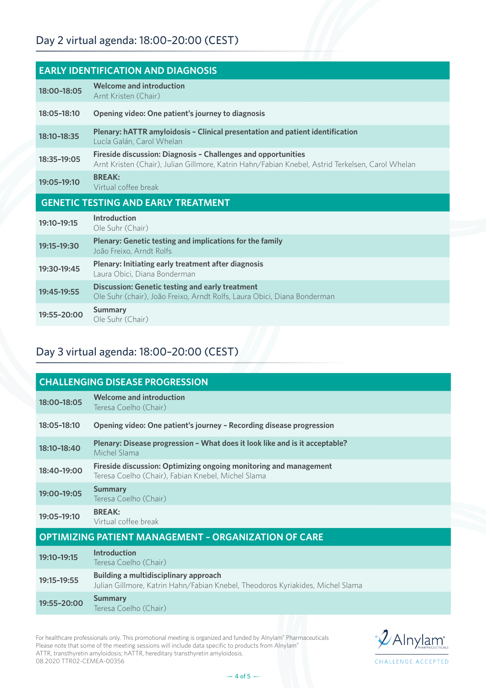| <b>EARLY IDENTIFICATION AND DIAGNOSIS</b>  |                                                                                                                                                                   |  |
|--------------------------------------------|-------------------------------------------------------------------------------------------------------------------------------------------------------------------|--|
| 18:00-18:05                                | <b>Welcome and introduction</b><br>Arnt Kristen (Chair)                                                                                                           |  |
| 18:05-18:10                                | Opening video: One patient's journey to diagnosis                                                                                                                 |  |
| 18:10-18:35                                | Plenary: hATTR amyloidosis - Clinical presentation and patient identification<br>Lucía Galán, Carol Whelan                                                        |  |
| 18:35-19:05                                | Fireside discussion: Diagnosis - Challenges and opportunities<br>Arnt Kristen (Chair), Julian Gillmore, Katrin Hahn/Fabian Knebel, Astrid Terkelsen, Carol Whelan |  |
| 19:05-19:10                                | <b>BREAK:</b><br>Virtual coffee break                                                                                                                             |  |
| <b>GENETIC TESTING AND EARLY TREATMENT</b> |                                                                                                                                                                   |  |
| 19:10-19:15                                | Introduction<br>Ole Suhr (Chair)                                                                                                                                  |  |
| 19:15-19:30                                | Plenary: Genetic testing and implications for the family<br>João Freixo, Arndt Rolfs                                                                              |  |
|                                            |                                                                                                                                                                   |  |
| 19:30-19:45                                | Plenary: Initiating early treatment after diagnosis<br>Laura Obici, Diana Bonderman                                                                               |  |
| 19:45-19:55                                | <b>Discussion: Genetic testing and early treatment</b><br>Ole Suhr (chair), João Freixo, Arndt Rolfs, Laura Obici, Diana Bonderman                                |  |

### Day 3 virtual agenda: 18:00–20:00 (CEST)

| <b>CHALLENGING DISEASE PROGRESSION</b>                      |                                                                                                                                |  |
|-------------------------------------------------------------|--------------------------------------------------------------------------------------------------------------------------------|--|
| 18:00-18:05                                                 | <b>Welcome and introduction</b><br>Teresa Coelho (Chair)                                                                       |  |
| 18:05-18:10                                                 | Opening video: One patient's journey - Recording disease progression                                                           |  |
| 18:10-18:40                                                 | Plenary: Disease progression - What does it look like and is it acceptable?<br>Michel Slama                                    |  |
| 18:40-19:00                                                 | Fireside discussion: Optimizing ongoing monitoring and management<br>Teresa Coelho (Chair), Fabian Knebel, Michel Slama        |  |
| 19:00-19:05                                                 | <b>Summary</b><br>Teresa Coelho (Chair)                                                                                        |  |
| 19:05-19:10                                                 | <b>BREAK:</b><br>Virtual coffee break                                                                                          |  |
| <b>OPTIMIZING PATIENT MANAGEMENT - ORGANIZATION OF CARE</b> |                                                                                                                                |  |
| 19:10-19:15                                                 | <b>Introduction</b><br>Teresa Coelho (Chair)                                                                                   |  |
| 19:15-19:55                                                 | <b>Building a multidisciplinary approach</b><br>Julian Gillmore, Katrin Hahn/Fabian Knebel, Theodoros Kyriakides, Michel Slama |  |
| 19:55-20:00                                                 | <b>Summary</b><br>Teresa Coelho (Chair)                                                                                        |  |
|                                                             |                                                                                                                                |  |

For healthcare professionals only. This promotional meeting is organized and funded by Alnylam® Pharmaceuticals Please note that some of the meeting sessions will include data specific to products from Alnylam® ATTR, transthyretin amyloidosis; hATTR, hereditary transthyretin amyloidosis. 08.2020 TTR02-CEMEA-00356